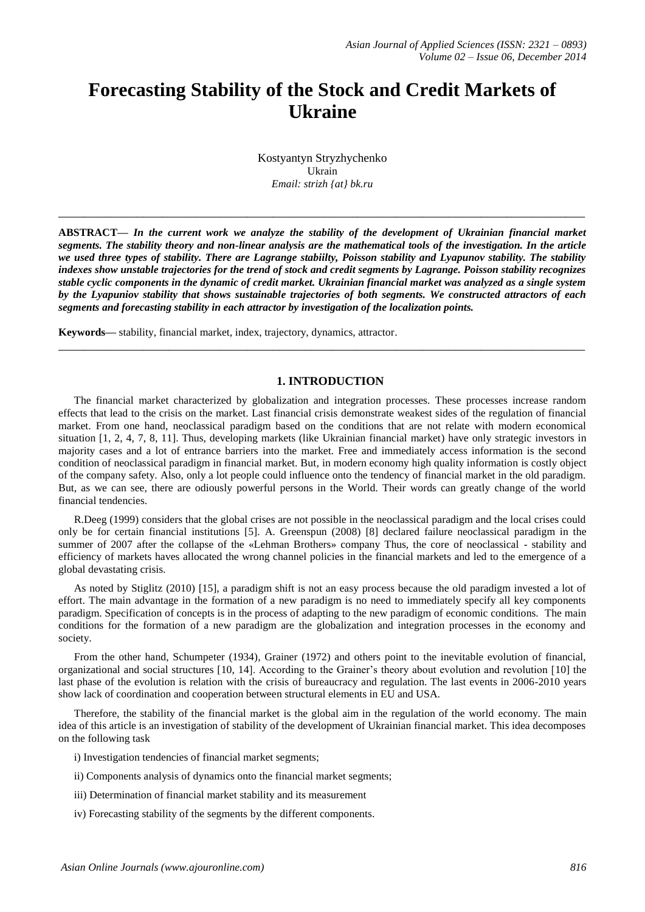# **Forecasting Stability of the Stock and Credit Markets of Ukraine**

Kostyantyn Stryzhychenko Ukrain *Email: strizh {at} bk.ru*

**\_\_\_\_\_\_\_\_\_\_\_\_\_\_\_\_\_\_\_\_\_\_\_\_\_\_\_\_\_\_\_\_\_\_\_\_\_\_\_\_\_\_\_\_\_\_\_\_\_\_\_\_\_\_\_\_\_\_\_\_\_\_\_\_\_\_\_\_\_\_\_\_\_\_\_\_\_\_\_\_\_**

**ABSTRACT—** *In the current work we analyze the stability of the development of Ukrainian financial market segments. The stability theory and non-linear analysis are the mathematical tools of the investigation. In the article we used three types of stability. There are Lagrange stabiilty, Poisson stability and Lyapunov stability. The stability indexes show unstable trajectories for the trend of stock and credit segments by Lagrange. Poisson stability recognizes stable cyclic components in the dynamic of credit market. Ukrainian financial market was analyzed as a single system by the Lyapuniov stability that shows sustainable trajectories of both segments. We constructed attractors of each segments and forecasting stability in each attractor by investigation of the localization points.*

**Keywords—** stability, financial market, index, trajectory, dynamics, attractor.

# **1. INTRODUCTION**

**\_\_\_\_\_\_\_\_\_\_\_\_\_\_\_\_\_\_\_\_\_\_\_\_\_\_\_\_\_\_\_\_\_\_\_\_\_\_\_\_\_\_\_\_\_\_\_\_\_\_\_\_\_\_\_\_\_\_\_\_\_\_\_\_\_\_\_\_\_\_\_\_\_\_\_\_\_\_\_\_\_**

The financial market characterized by globalization and integration processes. These processes increase random effects that lead to the crisis on the market. Last financial crisis demonstrate weakest sides of the regulation of financial market. From one hand, neoclassical paradigm based on the conditions that are not relate with modern economical situation [1, 2, 4, 7, 8, 11]. Thus, developing markets (like Ukrainian financial market) have only strategic investors in majority cases and a lot of entrance barriers into the market. Free and immediately access information is the second condition of neoclassical paradigm in financial market. But, in modern economy high quality information is costly object of the company safety. Also, only a lot people could influence onto the tendency of financial market in the old paradigm. But, as we can see, there are odiously powerful persons in the World. Their words can greatly change of the world financial tendencies.

R.Deeg (1999) considers that the global crises are not possible in the neoclassical paradigm and the local crises could only be for certain financial institutions [5]. A. Greenspun (2008) [8] declared failure neoclassical paradigm in the summer of 2007 after the collapse of the «Lehman Brothers» company Thus, the core of neoclassical - stability and efficiency of markets haves allocated the wrong channel policies in the financial markets and led to the emergence of a global devastating crisis.

As noted by Stiglitz (2010) [15], a paradigm shift is not an easy process because the old paradigm invested a lot of effort. The main advantage in the formation of a new paradigm is no need to immediately specify all key components paradigm. Specification of concepts is in the process of adapting to the new paradigm of economic conditions. The main conditions for the formation of a new paradigm are the globalization and integration processes in the economy and society.

From the other hand, Schumpeter (1934), Grainer (1972) and others point to the inevitable evolution of financial, organizational and social structures [10, 14]. According to the Grainer"s theory about evolution and revolution [10] the last phase of the evolution is relation with the crisis of bureaucracy and regulation. The last events in 2006-2010 years show lack of coordination and cooperation between structural elements in EU and USA.

Therefore, the stability of the financial market is the global aim in the regulation of the world economy. The main idea of this article is an investigation of stability of the development of Ukrainian financial market. This idea decomposes on the following task

i) Investigation tendencies of financial market segments;

- ii) Components analysis of dynamics onto the financial market segments;
- iii) Determination of financial market stability and its measurement
- iv) Forecasting stability of the segments by the different components.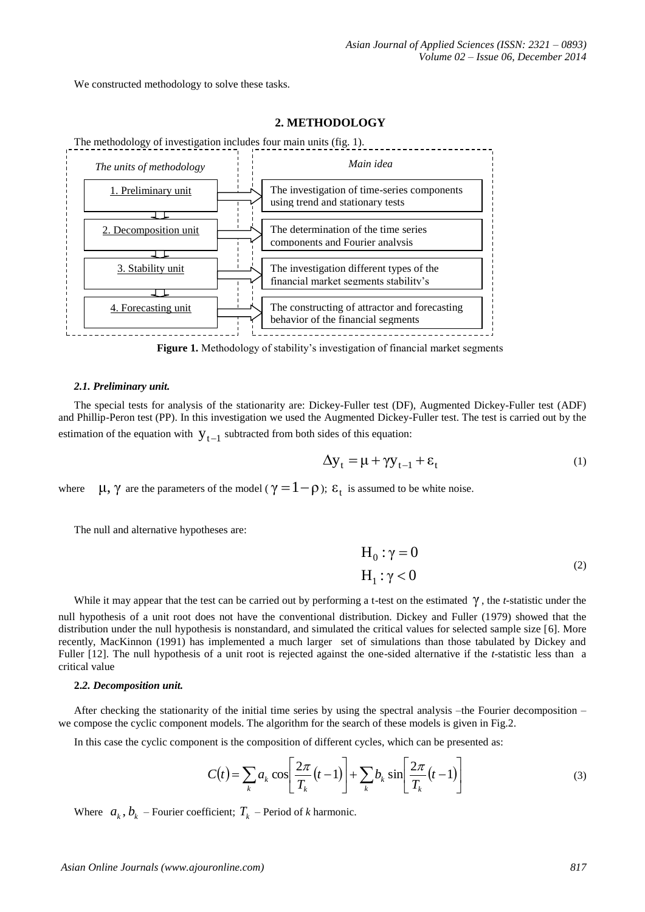We constructed methodology to solve these tasks.



# **2. METHODOLOGY**

**Figure 1.** Methodology of stability's investigation of financial market segments

#### *2.1. Preliminary unit.*

The special tests for analysis of the stationarity are: Dickey-Fuller test (DF), Augmented Dickey-Fuller test (ADF) and Phillip-Peron test (PP). In this investigation we used the Augmented Dickey-Fuller test. The test is carried out by the estimation of the equation with  $y_{t-1}$  subtracted from both sides of this equation:

$$
\Delta y_t = \mu + \gamma y_{t-1} + \varepsilon_t \tag{1}
$$

where  $\mu$ , γ are the parameters of the model ( $\gamma = 1 - \rho$ ); ε<sub>t</sub> is assumed to be white noise.

The null and alternative hypotheses are:

$$
H_0: \gamma = 0
$$
  
\n
$$
H_1: \gamma < 0
$$
 (2)

While it may appear that the test can be carried out by performing a t-test on the estimated  $\gamma$ , the *t*-statistic under the null hypothesis of a unit root does not have the conventional distribution. Dickey and Fuller (1979) showed that the distribution under the null hypothesis is nonstandard, and simulated the critical values for selected sample size [6]. More recently, MacKinnon (1991) has implemented a much larger set of simulations than those tabulated by Dickey and Fuller [12]. The null hypothesis of a unit root is rejected against the one-sided alternative if the *t*-statistic less than a critical value

### **2.***2. Decomposition unit.*

After checking the stationarity of the initial time series by using the spectral analysis –the Fourier decomposition – we compose the cyclic component models. The algorithm for the search of these models is given in Fig.2.

In this case the cyclic component is the composition of different cycles, which can be presented as:

$$
C(t) = \sum_{k} a_k \cos \left[ \frac{2\pi}{T_k} (t-1) \right] + \sum_{k} b_k \sin \left[ \frac{2\pi}{T_k} (t-1) \right]
$$
 (3)

Where  $a_k$ ,  $b_k$  – Fourier coefficient;  $T_k$  – Period of *k* harmonic.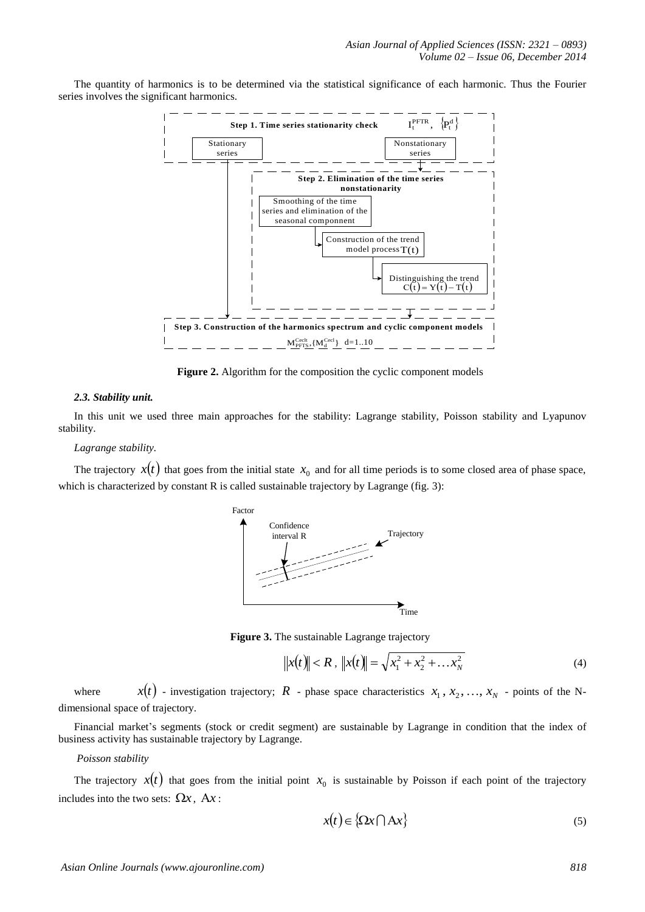The quantity of harmonics is to be determined via the statistical significance of each harmonic. Thus the Fourier series involves the significant harmonics.



**Figure 2.** Algorithm for the composition the cyclic component models

#### *2.3. Stability unit.*

In this unit we used three main approaches for the stability: Lagrange stability, Poisson stability and Lyapunov stability.

## *Lagrange stability.*

The trajectory  $x(t)$  that goes from the initial state  $x_0$  and for all time periods is to some closed area of phase space, which is characterized by constant R is called sustainable trajectory by Lagrange (fig. 3):



**Figure 3.** The sustainable Lagrange trajectory

$$
||x(t)|| < R , ||x(t)|| = \sqrt{x_1^2 + x_2^2 + \dots x_N^2}
$$
 (4)

where  $x(t)$  - investigation trajectory;  $R$  - phase space characteristics  $x_1, x_2, ..., x_N$  - points of the Ndimensional space of trajectory.

Financial market's segments (stock or credit segment) are sustainable by Lagrange in condition that the index of business activity has sustainable trajectory by Lagrange.

#### *Poisson stability*

The trajectory  $x(t)$  that goes from the initial point  $x_0$  is sustainable by Poisson if each point of the trajectory includes into the two sets:  $\Omega x$ ,  $Ax$ :

$$
x(t) \in \{ \Omega x \cap Ax \}
$$
 (5)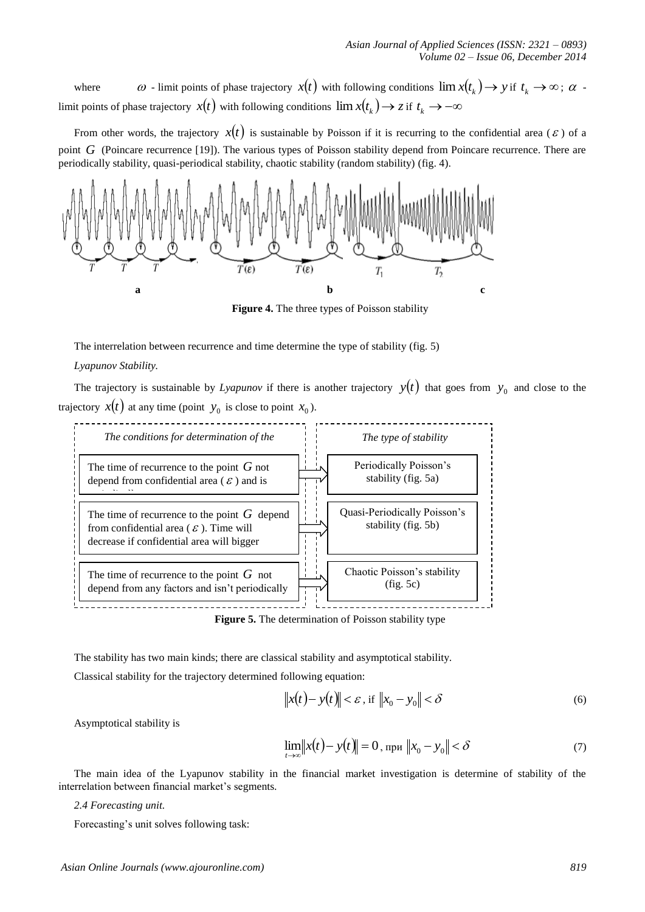where  $\omega$  - limit points of phase trajectory  $x(t)$  with following conditions  $\lim x(t_k) \to y$  if  $t_k \to \infty$ ;  $\alpha$  limit points of phase trajectory  $x(t)$  with following conditions  $\lim x(t_k) \to z$  if  $t_k \to -\infty$ 

From other words, the trajectory  $x(t)$  is sustainable by Poisson if it is recurring to the confidential area ( $\varepsilon$ ) of a point G (Poincare recurrence [19]). The various types of Poisson stability depend from Poincare recurrence. There are periodically stability, quasi-periodical stability, chaotic stability (random stability) (fig. 4).



**Figure 4.** The three types of Poisson stability

The interrelation between recurrence and time determine the type of stability (fig. 5)

## *Lyapunov Stability.*

The trajectory is sustainable by *Lyapunov* if there is another trajectory  $y(t)$  that goes from  $y_0$  and close to the trajectory  $x(t)$  at any time (point  $y_0$  is close to point  $x_0$ ).



**Figure 5.** The determination of Poisson stability type

The stability has two main kinds; there are classical stability and asymptotical stability. Classical stability for the trajectory determined following equation:

$$
\|x(t) - y(t)\| < \varepsilon \text{, if } \|x_0 - y_0\| < \delta \tag{6}
$$

Asymptotical stability is

$$
\lim_{t \to \infty} ||x(t) - y(t)|| = 0, \text{ при } ||x_0 - y_0|| < \delta \tag{7}
$$

The main idea of the Lyapunov stability in the financial market investigation is determine of stability of the interrelation between financial market's segments.

*2.4 Forecasting unit.*

Forecasting"s unit solves following task: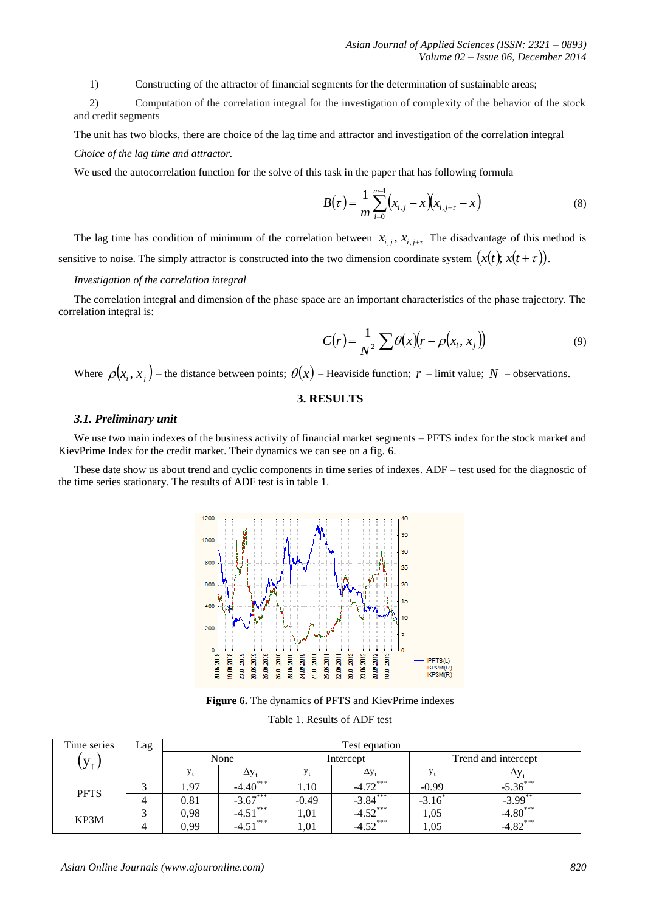1) Constructing of the attractor of financial segments for the determination of sustainable areas;

2) Computation of the correlation integral for the investigation of complexity of the behavior of the stock and credit segments

The unit has two blocks, there are choice of the lag time and attractor and investigation of the correlation integral *Choice of the lag time and attractor.*

We used the autocorrelation function for the solve of this task in the paper that has following formula

$$
B(\tau) = \frac{1}{m} \sum_{i=0}^{m-1} \left( x_{i,j} - \overline{x} \right) \left( x_{i,j+\tau} - \overline{x} \right) \tag{8}
$$

The lag time has condition of minimum of the correlation between  $x_{i,j}$ ,  $x_{i,j+\tau}$  The disadvantage of this method is sensitive to noise. The simply attractor is constructed into the two dimension coordinate system  $(x(t), x(t + \tau))$ .

## *Investigation of the correlation integral*

The correlation integral and dimension of the phase space are an important characteristics of the phase trajectory. The correlation integral is:

$$
C(r) = \frac{1}{N^2} \sum \theta(x) (r - \rho(x_i, x_j))
$$
\n(9)

Where  $\rho(x_i, x_j)$  – the distance between points;  $\theta(x)$  – Heaviside function;  $r$  – limit value;  $N$  – observations.

# **3. RESULTS**

#### *3.1. Preliminary unit*

We use two main indexes of the business activity of financial market segments – PFTS index for the stock market and KievPrime Index for the credit market. Their dynamics we can see on a fig. 6.

These date show us about trend and cyclic components in time series of indexes. ADF – test used for the diagnostic of the time series stationary. The results of ADF test is in table 1.



**Figure 6.** The dynamics of PFTS and KievPrime indexes

Table 1. Results of ADF test

| Time series | Lag | Test equation |                        |           |                      |                     |                       |
|-------------|-----|---------------|------------------------|-----------|----------------------|---------------------|-----------------------|
| $y_t$       |     | None          |                        | Intercept |                      | Trend and intercept |                       |
|             |     |               | Δу,                    |           | Δу                   |                     |                       |
| <b>PFTS</b> |     | .97           | $4\sqrt{1+1}$<br>-4.40 | 1.10      | $-4.72***$           | $-0.99$             | -9.90                 |
|             |     | 0.81          |                        | $-0.49$   | $-3.84***$           | $-3.16$             | $-3.99$               |
| KP3M        |     | 0,98          | ***<br>. ب4-           | 1,01      | $-4.52***$           | 1,05                |                       |
|             |     | 0.99          | ***<br>$-4.$           | 1.01      | $450$ <sup>***</sup> | 1,05                | $4.82$ <sup>***</sup> |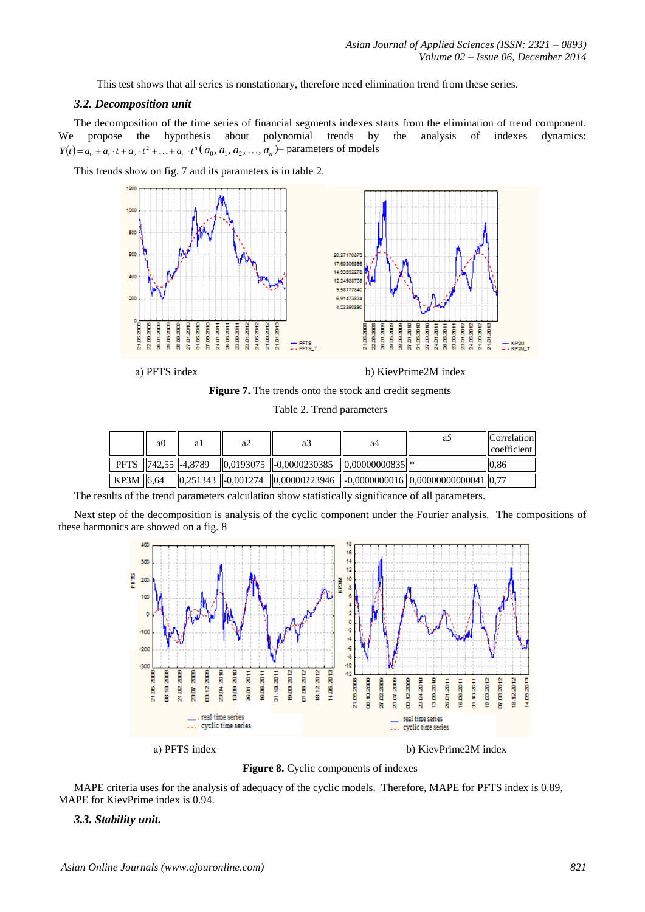This test shows that all series is nonstationary, therefore need elimination trend from these series.

#### *3.2. Decomposition unit*

The decomposition of the time series of financial segments indexes starts from the elimination of trend component. We propose the hypothesis about polynomial trends by the analysis of indexes dynamics:  $Y(t) = a_0 + a_1 \cdot t + a_2 \cdot t^2 + \ldots + a_n \cdot t^n (a_0, a_1, a_2, \ldots, a_n)$  parameters of models

This trends show on fig. 7 and its parameters is in table 2.



a) PFTS index b) KievPrime2M index

**Figure 7.** The trends onto the stock and credit segments

| Table 2. Trend parameters |  |
|---------------------------|--|
|---------------------------|--|

|             | a <sub>0</sub> | al                      | a2 | aź                                              | a4                  |                                                                                                                                   | <b>Correlation</b><br>coefficient |
|-------------|----------------|-------------------------|----|-------------------------------------------------|---------------------|-----------------------------------------------------------------------------------------------------------------------------------|-----------------------------------|
|             |                | PFTS   742,55   -4,8789 |    | $\parallel$ 0.0193075 $\parallel$ -0.0000230385 | $ 0.00000000835 $ * |                                                                                                                                   | 0.86                              |
| $KP3M$ 6.64 |                |                         |    |                                                 |                     | $\parallel 0.251343 \parallel -0.001274 \parallel 0.00000223946 \parallel -0.0000000016 \parallel 0.0000000000041 \parallel 0.77$ |                                   |

The results of the trend parameters calculation show statistically significance of all parameters.

Next step of the decomposition is analysis of the cyclic component under the Fourier analysis. The compositions of these harmonics are showed on a fig. 8



**Figure 8.** Cyclic components of indexes

MAPE criteria uses for the analysis of adequacy of the cyclic models. Therefore, MAPE for PFTS index is 0.89, MAPE for KievPrime index is 0.94.

#### *3.3. Stability unit.*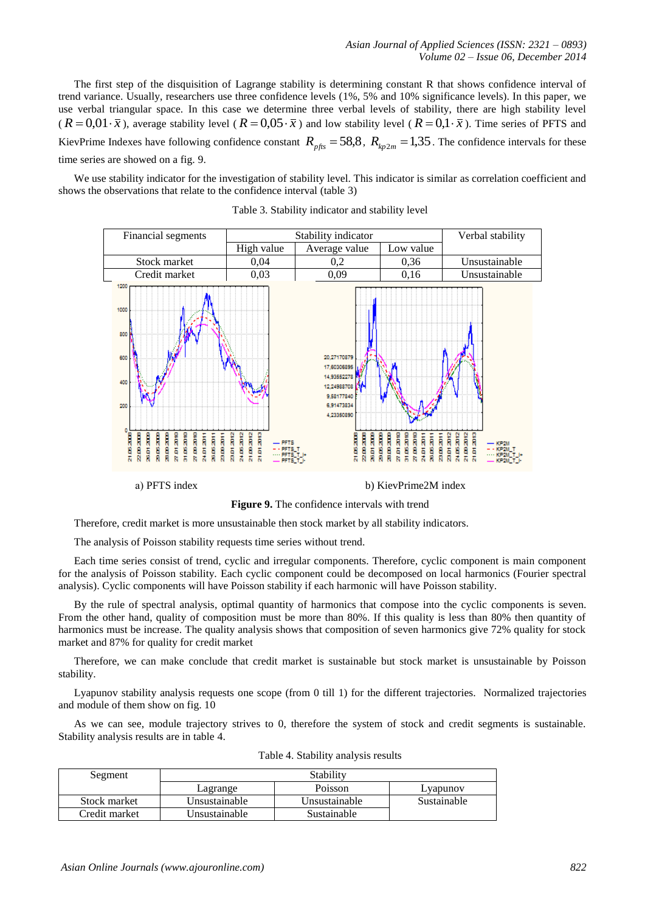The first step of the disquisition of Lagrange stability is determining constant R that shows confidence interval of trend variance. Usually, researchers use three confidence levels (1%, 5% and 10% significance levels). In this paper, we use verbal triangular space. In this case we determine three verbal levels of stability, there are high stability level  $(R = 0.01 \cdot \bar{x})$ , average stability level  $(R = 0.05 \cdot \bar{x})$  and low stability level  $(R = 0.1 \cdot \bar{x})$ . Time series of PFTS and KievPrime Indexes have following confidence constant  $R_{p\text{fts}} = 58.8$ ,  $R_{kp2m} = 1.35$ . The confidence intervals for these time series are showed on a fig. 9.

We use stability indicator for the investigation of stability level. This indicator is similar as correlation coefficient and shows the observations that relate to the confidence interval (table 3)



Table 3. Stability indicator and stability level

a) PFTS index b) KievPrime2M index

**Figure 9.** The confidence intervals with trend

Therefore, credit market is more unsustainable then stock market by all stability indicators.

The analysis of Poisson stability requests time series without trend.

Each time series consist of trend, cyclic and irregular components. Therefore, cyclic component is main component for the analysis of Poisson stability. Each cyclic component could be decomposed on local harmonics (Fourier spectral analysis). Cyclic components will have Poisson stability if each harmonic will have Poisson stability.

By the rule of spectral analysis, optimal quantity of harmonics that compose into the cyclic components is seven. From the other hand, quality of composition must be more than 80%. If this quality is less than 80% then quantity of harmonics must be increase. The quality analysis shows that composition of seven harmonics give 72% quality for stock market and 87% for quality for credit market

Therefore, we can make conclude that credit market is sustainable but stock market is unsustainable by Poisson stability.

Lyapunov stability analysis requests one scope (from 0 till 1) for the different trajectories. Normalized trajectories and module of them show on fig. 10

As we can see, module trajectory strives to 0, therefore the system of stock and credit segments is sustainable. Stability analysis results are in table 4.

| Segment       | Stability     |               |             |  |  |
|---------------|---------------|---------------|-------------|--|--|
|               | Lagrange      | Poisson       | Lyapunov    |  |  |
| Stock market  | Unsustainable | Unsustainable | Sustainable |  |  |
| Credit market | Unsustainable | Sustainable   |             |  |  |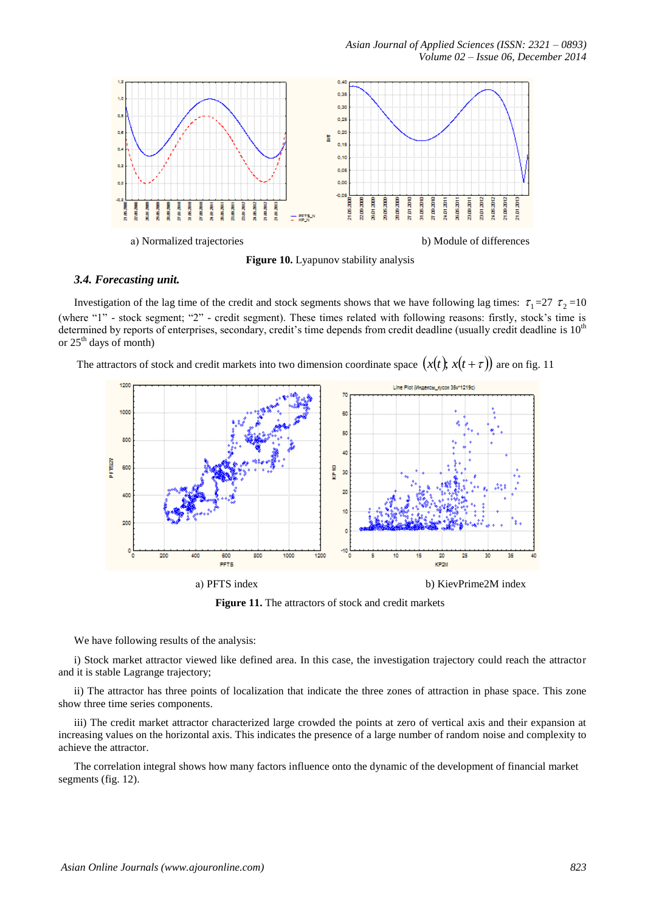

**Figure 10.** Lyapunov stability analysis

# *3.4. Forecasting unit.*

Investigation of the lag time of the credit and stock segments shows that we have following lag times:  $\tau_1=27$   $\tau_2=10$ (where "1" - stock segment; "2" - credit segment). These times related with following reasons: firstly, stock's time is determined by reports of enterprises, secondary, credit's time depends from credit deadline (usually credit deadline is  $10<sup>th</sup>$ or  $25<sup>th</sup>$  days of month)

The attractors of stock and credit markets into two dimension coordinate space  $(x(t); x(t + \tau))$  are on fig. 11



**Figure 11.** The attractors of stock and credit markets

We have following results of the analysis:

i) Stock market attractor viewed like defined area. In this case, the investigation trajectory could reach the attractor and it is stable Lagrange trajectory;

ii) The attractor has three points of localization that indicate the three zones of attraction in phase space. This zone show three time series components.

iii) The credit market attractor characterized large crowded the points at zero of vertical axis and their expansion at increasing values on the horizontal axis. This indicates the presence of a large number of random noise and complexity to achieve the attractor.

The correlation integral shows how many factors influence onto the dynamic of the development of financial market segments (fig. 12).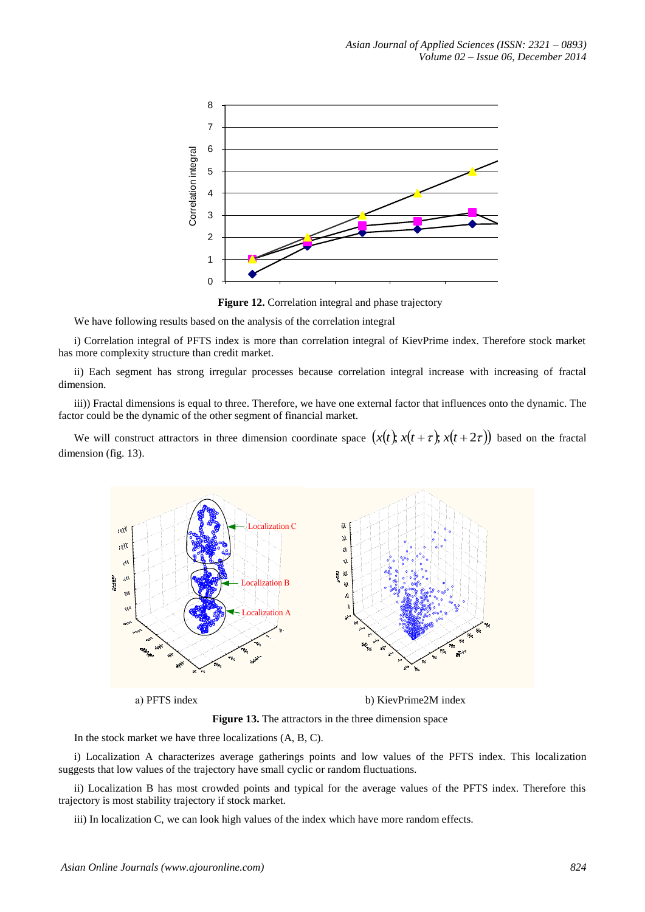

**Figure 12.** Correlation integral and phase trajectory

We have following results based on the analysis of the correlation integral

i) Correlation integral of PFTS index is more than correlation integral of KievPrime index. Therefore stock market has more complexity structure than credit market.

ii) Each segment has strong irregular processes because correlation integral increase with increasing of fractal dimension.

iii)) Fractal dimensions is equal to three. Therefore, we have one external factor that influences onto the dynamic. The factor could be the dynamic of the other segment of financial market.

We will construct attractors in three dimension coordinate space  $(x(t); x(t + \tau); x(t + 2\tau))$  based on the fractal dimension (fig. 13).



**Figure 13.** The attractors in the three dimension space

In the stock market we have three localizations (A, B, C).

i) Localization A characterizes average gatherings points and low values of the PFTS index. This localization suggests that low values of the trajectory have small cyclic or random fluctuations.

ii) Localization B has most crowded points and typical for the average values of the PFTS index. Therefore this trajectory is most stability trajectory if stock market.

iii) In localization C, we can look high values of the index which have more random effects.